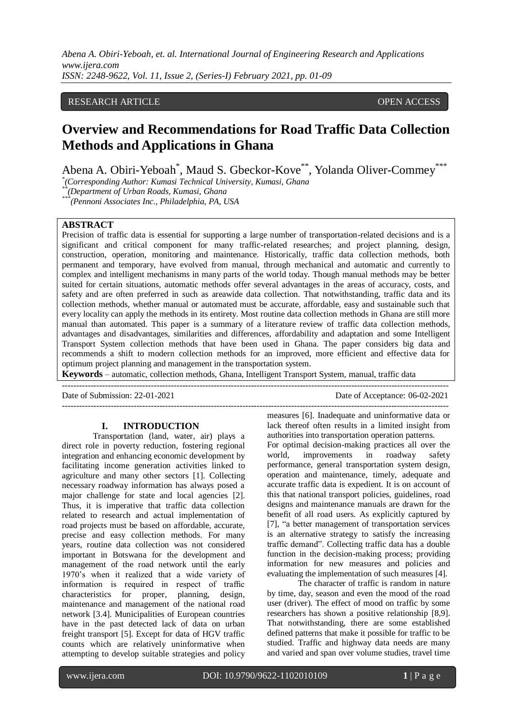# RESEARCH ARTICLE **CONSERVERS** OPEN ACCESS

# **Overview and Recommendations for Road Traffic Data Collection Methods and Applications in Ghana**

Abena A. Obiri-Yeboah<sup>\*</sup>, Maud S. Gbeckor-Kove<sup>\*\*</sup>, Yolanda Oliver-Commey<sup>\*\*\*</sup>

*\* (Corresponding Author: Kumasi Technical University, Kumasi, Ghana*

*\*\*(Department of Urban Roads, Kumasi, Ghana*

*\*\*\*(Pennoni Associates Inc., Philadelphia, PA, USA*

# **ABSTRACT**

Precision of traffic data is essential for supporting a large number of transportation-related decisions and is a significant and critical component for many traffic-related researches; and project planning, design, construction, operation, monitoring and maintenance. Historically, traffic data collection methods, both permanent and temporary, have evolved from manual, through mechanical and automatic and currently to complex and intelligent mechanisms in many parts of the world today. Though manual methods may be better suited for certain situations, automatic methods offer several advantages in the areas of accuracy, costs, and safety and are often preferred in such as areawide data collection. That notwithstanding, traffic data and its collection methods, whether manual or automated must be accurate, affordable, easy and sustainable such that every locality can apply the methods in its entirety. Most routine data collection methods in Ghana are still more manual than automated. This paper is a summary of a literature review of traffic data collection methods, advantages and disadvantages, similarities and differences, affordability and adaptation and some Intelligent Transport System collection methods that have been used in Ghana. The paper considers big data and recommends a shift to modern collection methods for an improved, more efficient and effective data for optimum project planning and management in the transportation system.

**Keywords** – automatic, collection methods, Ghana, Intelligent Transport System, manual, traffic data ---------------------------------------------------------------------------------------------------------------------------------------

Date of Submission: 22-01-2021 Date of Acceptance: 06-02-2021

#### **I. INTRODUCTION**

Transportation (land, water, air) plays a direct role in poverty reduction, fostering regional integration and enhancing economic development by facilitating income generation activities linked to agriculture and many other sectors [1]. Collecting necessary roadway information has always posed a major challenge for state and local agencies [2]. Thus, it is imperative that traffic data collection related to research and actual implementation of road projects must be based on affordable, accurate, precise and easy collection methods. For many years, routine data collection was not considered important in Botswana for the development and management of the road network until the early 1970's when it realized that a wide variety of information is required in respect of traffic characteristics for proper, planning, design, maintenance and management of the national road network [3.4]. Municipalities of European countries have in the past detected lack of data on urban freight transport [5]. Except for data of HGV traffic counts which are relatively uninformative when attempting to develop suitable strategies and policy

-------------------------------------------------------------------------------------------------------------------------------------- measures [6]. Inadequate and uninformative data or lack thereof often results in a limited insight from authorities into transportation operation patterns.

> For optimal decision-making practices all over the world, improvements in roadway safety performance, general transportation system design, operation and maintenance, timely, adequate and accurate traffic data is expedient. It is on account of this that national transport policies, guidelines, road designs and maintenance manuals are drawn for the benefit of all road users. As explicitly captured by [7], "a better management of transportation services is an alternative strategy to satisfy the increasing traffic demand". Collecting traffic data has a double function in the decision-making process; providing information for new measures and policies and evaluating the implementation of such measures [4].

> The character of traffic is random in nature by time, day, season and even the mood of the road user (driver). The effect of mood on traffic by some researchers has shown a positive relationship [8,9]. That notwithstanding, there are some established defined patterns that make it possible for traffic to be studied. Traffic and highway data needs are many and varied and span over volume studies, travel time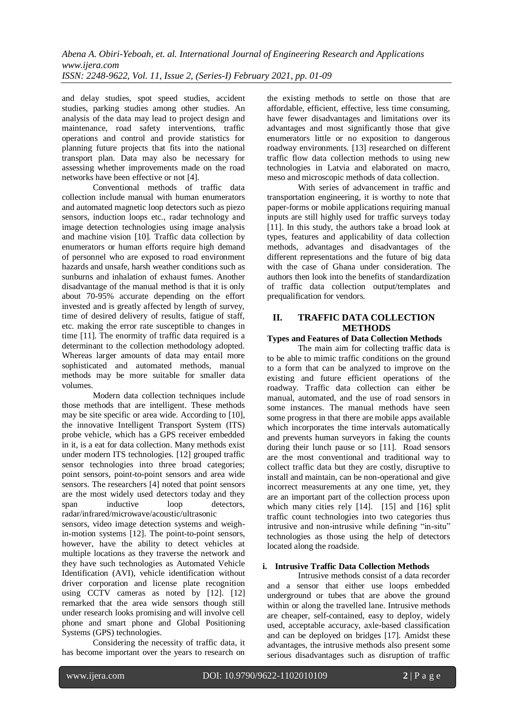and delay studies, spot speed studies, accident studies, parking studies among other studies. An analysis of the data may lead to project design and maintenance, road safety interventions, traffic operations and control and provide statistics for planning future projects that fits into the national transport plan. Data may also be necessary for assessing whether improvements made on the road networks have been effective or not [4].

Conventional methods of traffic data collection include manual with human enumerators and automated magnetic loop detectors such as piezo sensors, induction loops etc., radar technology and image detection technologies using image analysis and machine vision [10]. Traffic data collection by enumerators or human efforts require high demand of personnel who are exposed to road environment hazards and unsafe, harsh weather conditions such as sunburns and inhalation of exhaust fumes. Another disadvantage of the manual method is that it is only about 70-95% accurate depending on the effort invested and is greatly affected by length of survey, time of desired delivery of results, fatigue of staff, etc. making the error rate susceptible to changes in time [11]. The enormity of traffic data required is a determinant to the collection methodology adopted. Whereas larger amounts of data may entail more sophisticated and automated methods, manual methods may be more suitable for smaller data volumes.

Modern data collection techniques include those methods that are intelligent. These methods may be site specific or area wide. According to [10], the innovative Intelligent Transport System (ITS) probe vehicle, which has a GPS receiver embedded in it, is a eat for data collection. Many methods exist under modern ITS technologies. [12] grouped traffic sensor technologies into three broad categories; point sensors, point-to-point sensors and area wide sensors. The researchers [4] noted that point sensors are the most widely used detectors today and they span inductive loop detectors, radar/infrared/microwave/acoustic/ultrasonic sensors, video image detection systems and weighin-motion systems [12]. The point-to-point sensors, however, have the ability to detect vehicles at multiple locations as they traverse the network and they have such technologies as Automated Vehicle Identification (AVI), vehicle identification without driver corporation and license plate recognition using CCTV cameras as noted by [12]. [12] remarked that the area wide sensors though still under research looks promising and will involve cell phone and smart phone and Global Positioning Systems (GPS) technologies.

Considering the necessity of traffic data, it has become important over the years to research on

the existing methods to settle on those that are affordable, efficient, effective, less time consuming, have fewer disadvantages and limitations over its advantages and most significantly those that give enumerators little or no exposition to dangerous roadway environments. [13] researched on different traffic flow data collection methods to using new technologies in Latvia and elaborated on macro, meso and microscopic methods of data collection.

With series of advancement in traffic and transportation engineering, it is worthy to note that paper-forms or mobile applications requiring manual inputs are still highly used for traffic surveys today [11]. In this study, the authors take a broad look at types, features and applicability of data collection methods, advantages and disadvantages of the different representations and the future of big data with the case of Ghana under consideration. The authors then look into the benefits of standardization of traffic data collection output/templates and prequalification for vendors.

# **II. TRAFFIC DATA COLLECTION METHODS**

# **Types and Features of Data Collection Methods**

The main aim for collecting traffic data is to be able to mimic traffic conditions on the ground to a form that can be analyzed to improve on the existing and future efficient operations of the roadway. Traffic data collection can either be manual, automated, and the use of road sensors in some instances. The manual methods have seen some progress in that there are mobile apps available which incorporates the time intervals automatically and prevents human surveyors in faking the counts during their lunch pause or so [11]. Road sensors are the most conventional and traditional way to collect traffic data but they are costly, disruptive to install and maintain, can be non-operational and give incorrect measurements at any one time, yet, they are an important part of the collection process upon which many cities rely [14]. [15] and [16] split traffic count technologies into two categories thus intrusive and non-intrusive while defining "in-situ" technologies as those using the help of detectors located along the roadside.

### **i. Intrusive Traffic Data Collection Methods**

Intrusive methods consist of a data recorder and a sensor that either use loops embedded underground or tubes that are above the ground within or along the travelled lane. Intrusive methods are cheaper, self-contained, easy to deploy, widely used, acceptable accuracy, axle-based classification and can be deployed on bridges [17]. Amidst these advantages, the intrusive methods also present some serious disadvantages such as disruption of traffic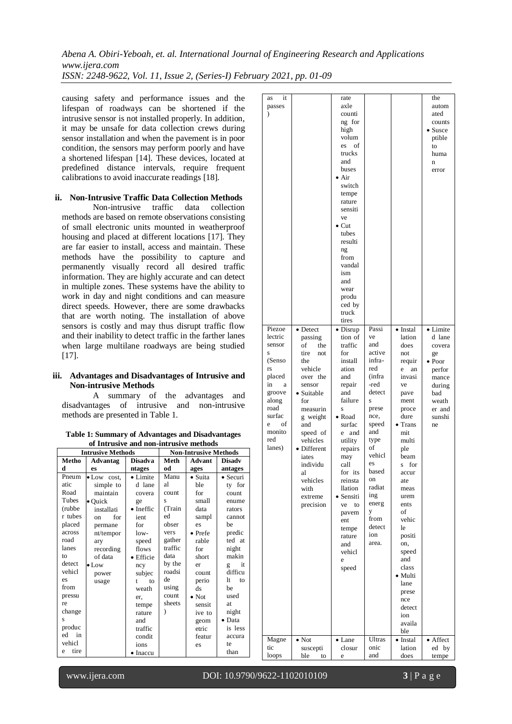causing safety and performance issues and the lifespan of roadways can be shortened if the intrusive sensor is not installed properly. In addition, it may be unsafe for data collection crews during sensor installation and when the pavement is in poor condition, the sensors may perform poorly and have a shortened lifespan [14]. These devices, located at predefined distance intervals, require frequent calibrations to avoid inaccurate readings [18].

# **ii. Non-Intrusive Traffic Data Collection Methods**

Non-intrusive traffic data collection methods are based on remote observations consisting of small electronic units mounted in weatherproof housing and placed at different locations [17]. They are far easier to install, access and maintain. These methods have the possibility to capture and permanently visually record all desired traffic information. They are highly accurate and can detect in multiple zones. These systems have the ability to work in day and night conditions and can measure direct speeds. However, there are some drawbacks that are worth noting. The installation of above sensors is costly and may thus disrupt traffic flow and their inability to detect traffic in the farther lanes when large multilane roadways are being studied [17].

### **iii. Advantages and Disadvantages of Intrusive and Non-intrusive Methods**

A summary of the advantages and disadvantages of intrusive and non-intrusive methods are presented in Table 1.

**Table 1: Summary of Advantages and Disadvantages of Intrusive and non-intrusive methods**

| <b>Intrusive Methods</b> |                     | <b>Non-Intrusive Methods</b> |         |                 |                  |
|--------------------------|---------------------|------------------------------|---------|-----------------|------------------|
| Metho                    | <b>Advantag</b>     | <b>Disadva</b>               | Meth    | Advant          | <b>Disadv</b>    |
| d                        | es                  | ntages                       | od      | ages            | antages          |
| Pneum                    | $\bullet$ Low cost, | • Limite                     | Manu    | $\bullet$ Suita | $\bullet$ Securi |
| atic                     | simple to           | d lane                       | al      | ble             | ty for           |
| Road                     | maintain            | covera                       | count.  | for             | count.           |
| Tubes                    | $\bullet$ Ouick     | ge                           | S       | small           | enume            |
| (rubbe                   | installati          | $\bullet$ Ineffic            | (Train  | data            | rators           |
| r tubes                  | for<br>on           | ient                         | ed      | sampl           | cannot           |
| placed                   | permane             | for                          | obser   | es              | be               |
| across                   | nt/tempor           | $low-$                       | vers    | $\bullet$ Prefe | predic           |
| road                     | ary                 | speed                        | gather  | rable           | ted at           |
| lanes                    | recording           | flows                        | traffic | for             | night            |
| to                       | of data             | $\bullet$ Efficie            | data    | short           | makin            |
| detect                   | $\bullet$ Low       | ncy                          | by the  | er              | it<br>g          |
| vehicl                   | power               | subjec                       | roadsi  | count           | difficu          |
| es                       | usage               | to<br>t                      | de      | perio           | lt<br>to         |
| from                     |                     | weath                        | using   | ds              | be               |
| pressu                   |                     | er.                          | count.  | $\bullet$ Not   | used             |
| re                       |                     | tempe                        | sheets  | sensit          | at               |
| change                   |                     | rature                       | 1       | ive to          | night            |
| S                        |                     | and                          |         | geom            | Data             |
| produc                   |                     | traffic                      |         | etric           | is less          |
| in<br>ed                 |                     | condit                       |         | featur          | accura           |
| vehicl                   |                     | ions                         |         | es              | te               |
| tire<br>e                |                     | $\bullet$ Inaccu             |         |                 | than             |

| it<br>as<br>passes<br>$\mathcal{E}$<br>Piezoe<br>lectric<br>sensor<br>S<br>(Senso<br>rs<br>placed<br>in<br>a<br>groove<br>along<br>road<br>surfac<br>οf<br>e<br>monito<br>red<br>lanes) | • Detect<br>passing<br>of<br>the<br>tire<br>not<br>the<br>vehicle<br>over the<br>sensor<br>• Suitable<br>for<br>measurin<br>g weight<br>and<br>speed of<br>vehicles<br>• Different<br>iates<br>individu<br>al<br>vehicles<br>with<br>extreme<br>precision | rate<br>axle<br>counti<br>ng for<br>high<br>volum<br>οf<br>es<br>trucks<br>and<br>buses<br>$\bullet$ Air<br>switch<br>tempe<br>rature<br>sensiti<br>ve<br>$\bullet$ Cut<br>tubes<br>resulti<br>ng<br>from<br>vandal<br>ism<br>and<br>wear<br>produ<br>ced by<br>truck<br>tires<br>$\bullet$ Disrup<br>tion of<br>traffic<br>for<br>install<br>ation<br>and<br>repair<br>and<br>failure<br>Š<br>$\bullet$ Road<br>surfac<br>and<br>e<br>utility<br>repairs<br>may<br>call<br>for its<br>reinsta<br>llation<br>• Sensiti<br>ve<br>to<br>pavem<br>ent<br>tempe<br>rature<br>and<br>vehicl<br>e<br>speed | Passi<br>ve<br>and<br>active<br>infra-<br>red<br>(infra<br>-red<br>detect<br>S<br>prese<br>nce,<br>speed<br>and<br>type<br>of<br>vehicl<br>es<br>based<br>on<br>radiat<br>ing<br>energ<br>у<br>from<br>detect<br>ion<br>area. | • Instal<br>lation<br>does<br>not<br>requir<br>e<br>an<br>invasi<br>ve<br>pave<br>ment<br>proce<br>dure<br>$\bullet$ Trans<br>mit<br>multi<br>ple<br>beam<br>for<br>S<br>accur<br>ate<br>meas<br>urem<br>ents<br>of<br>vehic<br>le<br>positi<br>on,<br>speed<br>and<br>class<br>• Multi<br>lane | the<br>autom<br>ated<br>counts<br>$\bullet$ Susce<br>ptible<br>to<br>huma<br>n<br>error<br>• Limite<br>d lane<br>covera<br>ge<br>$\bullet$ Poor<br>perfor<br>mance<br>during<br>bad<br>weath<br>er and<br>sunshi<br>ne |
|-----------------------------------------------------------------------------------------------------------------------------------------------------------------------------------------|-----------------------------------------------------------------------------------------------------------------------------------------------------------------------------------------------------------------------------------------------------------|------------------------------------------------------------------------------------------------------------------------------------------------------------------------------------------------------------------------------------------------------------------------------------------------------------------------------------------------------------------------------------------------------------------------------------------------------------------------------------------------------------------------------------------------------------------------------------------------------|-------------------------------------------------------------------------------------------------------------------------------------------------------------------------------------------------------------------------------|-------------------------------------------------------------------------------------------------------------------------------------------------------------------------------------------------------------------------------------------------------------------------------------------------|------------------------------------------------------------------------------------------------------------------------------------------------------------------------------------------------------------------------|
|                                                                                                                                                                                         |                                                                                                                                                                                                                                                           |                                                                                                                                                                                                                                                                                                                                                                                                                                                                                                                                                                                                      |                                                                                                                                                                                                                               | prese                                                                                                                                                                                                                                                                                           |                                                                                                                                                                                                                        |
|                                                                                                                                                                                         |                                                                                                                                                                                                                                                           |                                                                                                                                                                                                                                                                                                                                                                                                                                                                                                                                                                                                      |                                                                                                                                                                                                                               | nce<br>detect<br>ion                                                                                                                                                                                                                                                                            |                                                                                                                                                                                                                        |
|                                                                                                                                                                                         |                                                                                                                                                                                                                                                           |                                                                                                                                                                                                                                                                                                                                                                                                                                                                                                                                                                                                      |                                                                                                                                                                                                                               | availa<br>ble                                                                                                                                                                                                                                                                                   |                                                                                                                                                                                                                        |
| Magne                                                                                                                                                                                   | $\bullet$ Not                                                                                                                                                                                                                                             | $\bullet$ Lane                                                                                                                                                                                                                                                                                                                                                                                                                                                                                                                                                                                       | Ultras                                                                                                                                                                                                                        | $\bullet$ Instal                                                                                                                                                                                                                                                                                | $\bullet$ Affect                                                                                                                                                                                                       |
| tic<br>loops                                                                                                                                                                            | suscepti<br>ble<br>to                                                                                                                                                                                                                                     | closur<br>e                                                                                                                                                                                                                                                                                                                                                                                                                                                                                                                                                                                          | onic<br>and                                                                                                                                                                                                                   | lation<br>does                                                                                                                                                                                                                                                                                  | ed by<br>tempe                                                                                                                                                                                                         |

www.ijera.com DOI: 10.9790/9622-1102010109 **3** | P a g e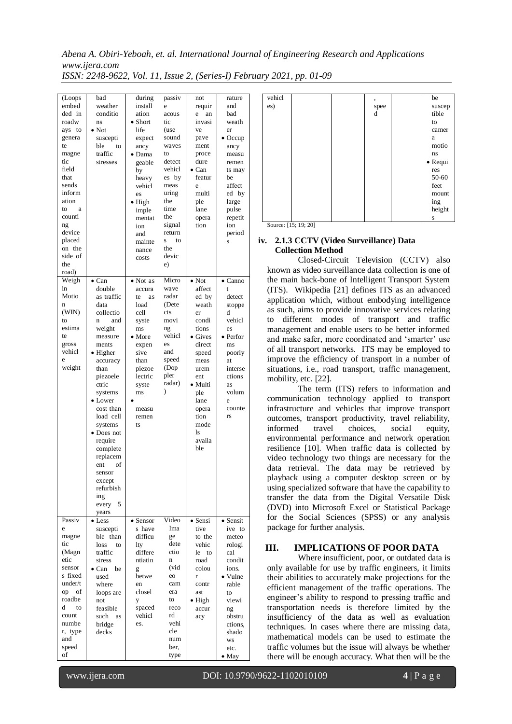*Abena A. Obiri-Yeboah, et. al. International Journal of Engineering Research and Applications www.ijera.com ISSN: 2248-9622, Vol. 11, Issue 2, (Series-I) February 2021, pp. 01-09*

| (Loops<br>embed<br>ded in<br>roadw<br>ays to<br>genera<br>te<br>magne<br>tic<br>field<br>that<br>sends<br>inform<br>ation<br>to<br>a<br>counti<br>ng<br>device<br>placed<br>on the<br>side of<br>the<br>road) | bad<br>weather<br>conditio<br>ns<br>$\bullet$ Not<br>suscepti<br>ble<br>to<br>traffic<br>stresses                                                                                                                                                                                                                                                                             | during<br>install<br>ation<br>$\bullet$ Short<br>life<br>expect<br>ancy<br>• Dama<br>geable<br>by<br>heavy<br>vehicl<br>es<br>$\bullet$ High<br>imple<br>mentat<br>ion<br>and<br>mainte<br>nance<br>costs | passiv<br>e<br>acous<br>tic<br>(use<br>sound<br>waves<br>to<br>detect<br>vehicl<br>es by<br>meas<br>uring<br>the<br>time<br>the<br>signal<br>return<br>to<br>S<br>the<br>devic<br>e) | not<br>requir<br>e<br>an<br>invasi<br>ve<br>pave<br>ment<br>proce<br>dure<br>$\bullet$ Can<br>featur<br>e<br>multi<br>ple<br>lane<br>opera<br>tion                                                       | rature<br>and<br>bad<br>weath<br>er<br>$\bullet$ Occup<br>ancy<br>measu<br>remen<br>ts may<br>be<br>affect<br>ed by<br>large<br>pulse<br>repetit<br>ion<br>period<br>S                |
|---------------------------------------------------------------------------------------------------------------------------------------------------------------------------------------------------------------|-------------------------------------------------------------------------------------------------------------------------------------------------------------------------------------------------------------------------------------------------------------------------------------------------------------------------------------------------------------------------------|-----------------------------------------------------------------------------------------------------------------------------------------------------------------------------------------------------------|--------------------------------------------------------------------------------------------------------------------------------------------------------------------------------------|----------------------------------------------------------------------------------------------------------------------------------------------------------------------------------------------------------|---------------------------------------------------------------------------------------------------------------------------------------------------------------------------------------|
| Weigh<br>in<br>Motio<br>n<br>(WIN)<br>to<br>estima<br>te<br>gross<br>vehicl<br>e<br>weight                                                                                                                    | $\bullet$ Can<br>double<br>as traffic<br>data<br>collectio<br>and<br>n<br>weight<br>measure<br>ments<br>$\bullet$ Higher<br>accuracy<br>than<br>piezoele<br>ctric<br>systems<br>$\bullet$ Lower<br>cost than<br>load cell<br>systems<br>• Does not<br>require<br>complete<br>replacem<br>of<br>ent<br>sensor<br>except<br>refurbish<br><sub>1</sub> ng<br>5<br>every<br>years | $\bullet$ Not as<br>accura<br>te<br>as<br>load<br>cell<br>syste<br>ms<br>$\bullet$ More<br>expen<br>sive<br>than<br>piezoe<br>lectric<br>syste<br>ms<br>measu<br>remen<br>ts                              | Micro<br>wave<br>radar<br>(Dete<br>cts<br>movi<br>ng<br>vehicl<br>es<br>and<br>speed<br>(Dop<br>pler<br>radar)<br>$\mathcal{E}$                                                      | $\bullet$ Not<br>affect<br>ed by<br>weath<br>er<br>condi<br>tions<br>$\bullet$ Gives<br>direct<br>speed<br>meas<br>urem<br>ent<br>• Multi<br>ple<br>lane<br>opera<br>tion<br>mode<br>ls<br>availa<br>ble | $\bullet$ Canno<br>t<br>detect<br>stoppe<br>d<br>vehicl<br>es<br>• Perfor<br>ms<br>poorly<br>at<br>interse<br>ctions<br>as<br>volum<br>e<br>counte<br>rs                              |
| Passiv<br>e<br>magne<br>tic<br>(Magn<br>etic<br>sensor<br>s fixed<br>under/t<br>οf<br>op<br>roadbe<br>d<br>to<br>count<br>numbe<br>r, type<br>and<br>speed<br>of                                              | $\bullet$ Less<br>suscepti<br>ble than<br>loss<br>to<br>traffic<br>stress<br>be<br>$\bullet$ Can<br>used<br>where<br>loops are<br>not<br>feasible<br>such<br>as<br>bridge<br>decks                                                                                                                                                                                            | $\bullet$ Sensor<br>s have<br>difficu<br>lty<br>differe<br>ntiatin<br>g<br>betwe<br>en<br>closel<br>y<br>spaced<br>vehicl<br>es.                                                                          | Video<br>Ima<br>ge<br>dete<br>ctio<br>n<br>(vid<br>eo<br>cam<br>era<br>to<br>reco<br>rd<br>vehi<br>cle<br>num<br>ber,<br>type                                                        | $\bullet$ Sensi<br>tive<br>to the<br>vehic<br>le to<br>road<br>colou<br>r<br>contr<br>ast<br>$\bullet$ High<br>accur<br>acy                                                                              | $\bullet$ Sensit<br>ive to<br>meteo<br>rologi<br>cal<br>condit<br>ions.<br>$\bullet$ Vulne<br>rable<br>to<br>viewi<br>ng<br>obstru<br>ctions,<br>shado<br>WS<br>etc.<br>$\bullet$ May |



Source: [15; 19; 20]

#### **iv. 2.1.3 CCTV (Video Surveillance) Data Collection Method**

Closed-Circuit Television (CCTV) also known as video surveillance data collection is one of the main back-bone of Intelligent Transport System (ITS). Wikipedia [21] defines ITS as an advanced application which, without embodying intelligence as such, aims to provide innovative services relating to different modes of transport and traffic management and enable users to be better informed and make safer, more coordinated and 'smarter' use of all transport networks. ITS may be employed to improve the efficiency of transport in a number of situations, i.e., road transport, traffic management, mobility, etc. [22].

The term (ITS) refers to [information and](http://en.wikipedia.org/wiki/Information_and_communication_technology)  [communication technology](http://en.wikipedia.org/wiki/Information_and_communication_technology) applied to [transport](http://en.wikipedia.org/wiki/Transport) [infrastructure](http://en.wikipedia.org/wiki/Infrastructure) and [vehicles](http://en.wikipedia.org/wiki/Vehicle) that improve transport outcomes, transport productivity, travel reliability, informed travel choices, social equity, environmental performance and network operation resilience [10]. When traffic data is collected by video technology two things are necessary for the data retrieval. The data may be retrieved by playback using a computer desktop screen or by using specialized software that have the capability to transfer the data from the Digital Versatile Disk (DVD) into Microsoft Excel or Statistical Package for the Social Sciences (SPSS) or any analysis package for further analysis.

#### **III. IMPLICATIONS OF POOR DATA**

Where insufficient, poor, or outdated data is only available for use by traffic engineers, it limits their abilities to accurately make projections for the efficient management of the traffic operations. The engineer's ability to respond to pressing traffic and transportation needs is therefore limited by the insufficiency of the data as well as evaluation techniques. In cases where there are missing data, mathematical models can be used to estimate the traffic volumes but the issue will always be whether there will be enough accuracy. What then will be the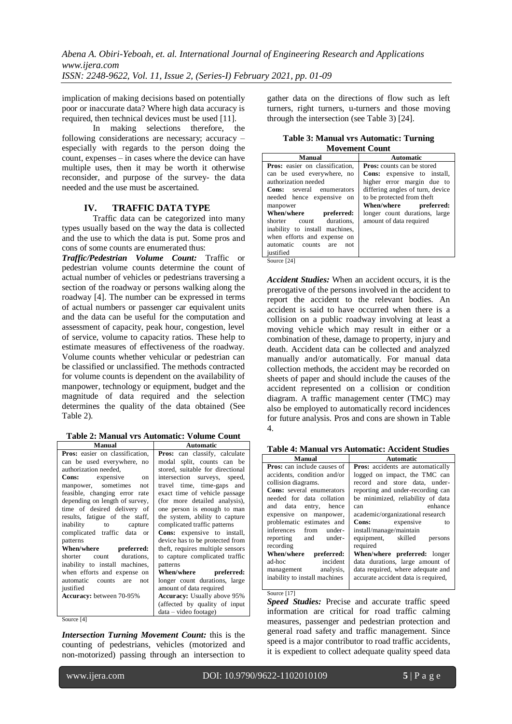implication of making decisions based on potentially poor or inaccurate data? Where high data accuracy is required, then technical devices must be used [11].

In making selections therefore, the following considerations are necessary; accuracy – especially with regards to the person doing the count, expenses – in cases where the device can have multiple uses, then it may be worth it otherwise reconsider, and purpose of the survey- the data needed and the use must be ascertained.

#### **IV. TRAFFIC DATA TYPE**

Traffic data can be categorized into many types usually based on the way the data is collected and the use to which the data is put. Some pros and cons of some counts are enumerated thus:

*Traffic/Pedestrian Volume Count:* Traffic or pedestrian volume counts determine the count of actual number of vehicles or pedestrians traversing a section of the roadway or persons walking along the roadway [4]. The number can be expressed in terms of actual numbers or passenger car equivalent units and the data can be useful for the computation and assessment of capacity, peak hour, congestion, level of service, volume to capacity ratios. These help to estimate measures of effectiveness of the roadway. Volume counts whether vehicular or pedestrian can be classified or unclassified. The methods contracted for volume counts is dependent on the availability of manpower, technology or equipment, budget and the magnitude of data required and the selection determines the quality of the data obtained (See Table 2).

| Table 2: Manual vrs Automatic: Volume Count |  |
|---------------------------------------------|--|
|---------------------------------------------|--|

| <b>Manual</b>                         | <b>Automatic</b>                     |  |  |
|---------------------------------------|--------------------------------------|--|--|
| Pros: easier on classification,       | <b>Pros:</b> can classify, calculate |  |  |
| can be used everywhere, no            | modal split, counts can be           |  |  |
| authorization needed.                 | stored, suitable for directional     |  |  |
| <b>Cons:</b> expensive<br>on          | intersection surveys, speed,         |  |  |
| manpower, sometimes<br>not            | travel time, time-gaps and           |  |  |
| feasible, changing error rate         | exact time of vehicle passage        |  |  |
| depending on length of survey,        | (for more detailed analysis),        |  |  |
| time of desired delivery of           | one person is enough to man          |  |  |
| results, fatigue of the staff,        | the system, ability to capture       |  |  |
| inability to capture                  | complicated traffic patterns         |  |  |
| complicated traffic data<br><b>or</b> | Cons: expensive to install,          |  |  |
| patterns                              | device has to be protected from      |  |  |
| When/where preferred:                 | theft, requires multiple sensors     |  |  |
| shorter count durations.              | to capture complicated traffic       |  |  |
| inability to install machines,        | patterns                             |  |  |
| when efforts and expense on           | When/where preferred:                |  |  |
| automatic counts are<br>not           | longer count durations, large        |  |  |
| justified                             | amount of data required              |  |  |
| Accuracy: between 70-95%              | <b>Accuracy:</b> Usually above 95%   |  |  |
|                                       | (affected by quality of input)       |  |  |
|                                       | $data - video footage)$              |  |  |

Source [4]

*Intersection Turning Movement Count:* this is the counting of pedestrians, vehicles (motorized and non-motorized) passing through an intersection to

gather data on the directions of flow such as left turners, right turners, u-turners and those moving through the intersection (see Table 3) [24].

**Table 3: Manual vrs Automatic: Turning Movement Count**

| Manual                           | Automatic                          |  |  |
|----------------------------------|------------------------------------|--|--|
| Pros: easier on classification,  | <b>Pros:</b> counts can be stored  |  |  |
| can be used everywhere, no       | <b>Cons:</b> expensive to install, |  |  |
| authorization needed             | higher error margin due to         |  |  |
| <b>Cons:</b> several enumerators | differing angles of turn, device   |  |  |
| needed hence expensive on        | to be protected from theft         |  |  |
| manpower                         | When/where preferred:              |  |  |
| When/where<br>preferred:         | longer count durations, large      |  |  |
| shorter count durations.         | amount of data required            |  |  |
| inability to install machines,   |                                    |  |  |
| when efforts and expense on      |                                    |  |  |
| automatic<br>counts are<br>not.  |                                    |  |  |
| justified                        |                                    |  |  |

Source [24]

*Accident Studies:* When an accident occurs, it is the prerogative of the persons involved in the accident to report the accident to the relevant bodies. An accident is said to have occurred when there is a collision on a public roadway involving at least a moving vehicle which may result in either or a combination of these, damage to property, injury and death. Accident data can be collected and analyzed manually and/or automatically. For manual data collection methods, the accident may be recorded on sheets of paper and should include the causes of the accident represented on a collision or condition diagram. A traffic management center (TMC) may also be employed to automatically record incidences for future analysis. Pros and cons are shown in Table 4.

**Table 4: Manual vrs Automatic: Accident Studies**

| <b>Manual</b>                      | <b>Automatic</b>                    |  |  |
|------------------------------------|-------------------------------------|--|--|
| <b>Pros:</b> can include causes of | Pros: accidents are automatically   |  |  |
| accidents, condition and/or        | logged on impact, the TMC can       |  |  |
| collision diagrams.                | record and store data, under-       |  |  |
| Cons: several enumerators          | reporting and under-recording can   |  |  |
| needed for data collation          | be minimized, reliability of data   |  |  |
| and data entry, hence              | enhance<br>can                      |  |  |
| expensive on manpower,             | academic/organizational research    |  |  |
| problematic estimates and          | <b>Cons:</b> expensive<br>to        |  |  |
| inferences from<br>under-          | install/manage/maintain             |  |  |
| reporting and under-               | equipment, skilled<br>persons       |  |  |
| recording                          | required                            |  |  |
| When/where preferred:              | When/where preferred: longer        |  |  |
| incident<br>ad-hoc                 | data durations, large amount of     |  |  |
| management analysis,               | data required, where adequate and   |  |  |
| inability to install machines      | accurate accident data is required, |  |  |
|                                    |                                     |  |  |

Source [17]

*Speed Studies:* Precise and accurate traffic speed information are critical for road traffic calming measures, passenger and pedestrian protection and general road safety and traffic management. Since speed is a major contributor to road traffic accidents, it is expedient to collect adequate quality speed data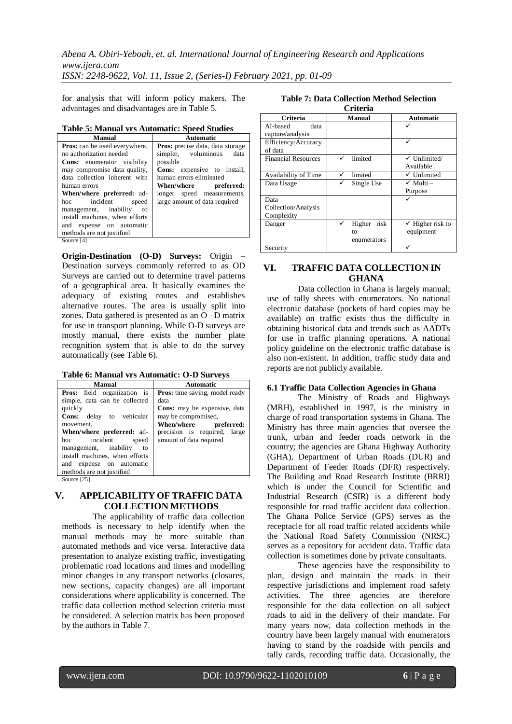for analysis that will inform policy makers. The advantages and disadvantages are in Table 5.

| Table 5. Manuar vis Automatic. Speed Studies                                                                                                                                                                                                                                                                                                                           |                                                                                                                                                                                                                                                |
|------------------------------------------------------------------------------------------------------------------------------------------------------------------------------------------------------------------------------------------------------------------------------------------------------------------------------------------------------------------------|------------------------------------------------------------------------------------------------------------------------------------------------------------------------------------------------------------------------------------------------|
| Manual                                                                                                                                                                                                                                                                                                                                                                 | <b>Automatic</b>                                                                                                                                                                                                                               |
| <b>Pros:</b> can be used everywhere,<br>no authorization needed<br><b>Cons:</b> enumerator visibility<br>may compromise data quality,<br>data collection inherent with<br>human errors<br>When/where preferred: ad-<br>hoc incident<br>speed<br>management, inability<br>to<br>install machines, when efforts<br>and expense on automatic<br>methods are not justified | <b>Pros:</b> precise data, data storage<br>simpler, voluminous<br>data<br>possible<br><b>Cons:</b> expensive to install,<br>human errors eliminated<br>When/where<br>preferred:<br>longer speed measurements,<br>large amount of data required |
| Source [4]                                                                                                                                                                                                                                                                                                                                                             |                                                                                                                                                                                                                                                |

# **Table 5: Manual vrs Automatic: Speed Studies**

**Origin-Destination (O-D) Surveys:** Origin – Destination surveys commonly referred to as OD Surveys are carried out to determine travel patterns of a geographical area. It basically examines the adequacy of existing routes and establishes alternative routes. The area is usually split into zones. Data gathered is presented as an O –D matrix for use in transport planning. While O-D surveys are mostly manual, there exists the number plate recognition system that is able to do the survey automatically (see Table 6).

**Table 6: Manual vrs Automatic: O-D Surveys**

| <b>Manual</b>                      | Automatic                             |
|------------------------------------|---------------------------------------|
| <b>Pros:</b> field organization is | <b>Pros:</b> time saving, model ready |
| simple, data can be collected      | data                                  |
| quickly                            | <b>Cons:</b> may be expensive, data   |
| delay to vehicular<br>Cons:        | may be compromised.                   |
| movement.                          | When/where preferred:                 |
| When/where preferred: ad-          | precision is required, large          |
| incident<br>speed<br>hoc           | amount of data required               |
| management, inability<br>to        |                                       |
| install machines, when efforts     |                                       |
| and expense on automatic           |                                       |
| methods are not justified          |                                       |
| Source [25]                        |                                       |

### **V. APPLICABILITY OF TRAFFIC DATA COLLECTION METHODS**

The applicability of traffic data collection methods is necessary to help identify when the manual methods may be more suitable than automated methods and vice versa. Interactive data presentation to analyze existing traffic, investigating problematic road locations and times and modelling minor changes in any transport networks (closures, new sections, capacity changes) are all important considerations where applicability is concerned. The traffic data collection method selection criteria must be considered. A selection matrix has been proposed by the authors in Table 7.

| <b>Table 7: Data Collection Method Selection</b> |  |  |  |  |
|--------------------------------------------------|--|--|--|--|
| $\sim$ $\sim$ $\sim$ $\sim$                      |  |  |  |  |

| Criteria                                  |                                          |                                          |  |  |
|-------------------------------------------|------------------------------------------|------------------------------------------|--|--|
| Criteria                                  | Manual                                   | <b>Automatic</b>                         |  |  |
| AI-based<br>data<br>capture/analysis      |                                          |                                          |  |  |
| Efficiency/Accuracy<br>of data            |                                          |                                          |  |  |
| <b>Financial Resources</b>                | limited                                  | $\checkmark$ Unlimited/<br>Available     |  |  |
| Availability of Time                      | limited                                  | $\checkmark$ Unlimited                   |  |  |
| Data Usage                                | Single Use                               | $\checkmark$ Multi –<br>Purpose          |  |  |
| Data<br>Collection/Analysis<br>Complexity |                                          |                                          |  |  |
| Danger                                    | Higher<br>✓<br>risk<br>tΩ<br>enumerators | $\checkmark$ Higher risk to<br>equipment |  |  |
| Security                                  |                                          |                                          |  |  |

# **VI. TRAFFIC DATA COLLECTION IN GHANA**

Data collection in Ghana is largely manual; use of tally sheets with enumerators. No national electronic database (pockets of hard copies may be available) on traffic exists thus the difficulty in obtaining historical data and trends such as AADTs for use in traffic planning operations. A national policy guideline on the electronic traffic database is also non-existent. In addition, traffic study data and reports are not publicly available.

#### **6.1 Traffic Data Collection Agencies in Ghana**

The Ministry of Roads and Highways (MRH), established in 1997, is the ministry in charge of road transportation systems in Ghana. The Ministry has three main agencies that oversee the trunk, urban and feeder roads network in the country; the agencies are Ghana Highway Authority (GHA), Department of Urban Roads (DUR) and Department of Feeder Roads (DFR) respectively. The Building and Road Research Institute (BRRI) which is under the Council for Scientific and Industrial Research (CSIR) is a different body responsible for road traffic accident data collection. The Ghana Police Service (GPS) serves as the receptacle for all road traffic related accidents while the National Road Safety Commission (NRSC) serves as a repository for accident data. Traffic data collection is sometimes done by private consultants.

These agencies have the responsibility to plan, design and maintain the roads in their respective jurisdictions and implement road safety activities. The three agencies are therefore responsible for the data collection on all subject roads to aid in the delivery of their mandate. For many years now, data collection methods in the country have been largely manual with enumerators having to stand by the roadside with pencils and tally cards, recording traffic data. Occasionally, the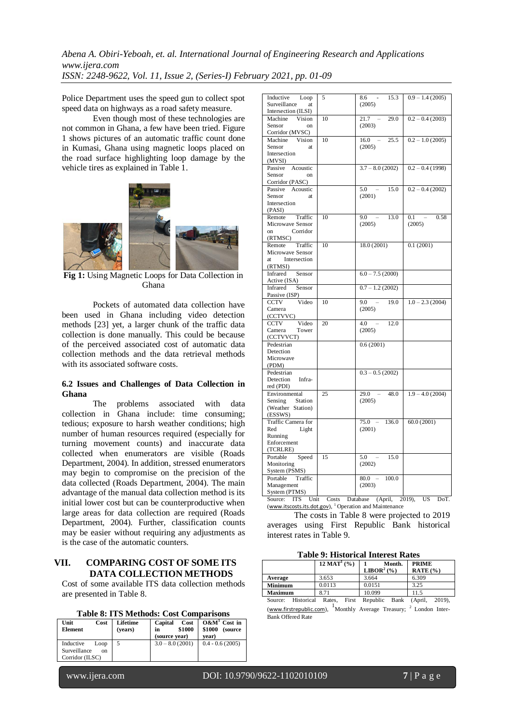Police Department uses the speed gun to collect spot speed data on highways as a road safety measure.

Even though most of these technologies are not common in Ghana, a few have been tried. Figure 1 shows pictures of an automatic traffic count done in Kumasi, Ghana using magnetic loops placed on the road surface highlighting loop damage by the vehicle tires as explained in Table 1.



**Fig 1:** Using Magnetic Loops for Data Collection in Ghana

Pockets of automated data collection have been used in Ghana including video detection methods [23] yet, a larger chunk of the traffic data collection is done manually. This could be because of the perceived associated cost of automatic data collection methods and the data retrieval methods with its associated software costs.

#### **6.2 Issues and Challenges of Data Collection in Ghana**

The problems associated with data collection in Ghana include: time consuming; tedious; exposure to harsh weather conditions; high number of human resources required (especially for turning movement counts) and inaccurate data collected when enumerators are visible (Roads Department, 2004). In addition, stressed enumerators may begin to compromise on the precision of the data collected (Roads Department, 2004). The main advantage of the manual data collection method is its initial lower cost but can be counterproductive when large areas for data collection are required (Roads Department, 2004). Further, classification counts may be easier without requiring any adjustments as is the case of the automatic counters.

# **VII. COMPARING COST OF SOME ITS DATA COLLECTION METHODS**

Cost of some available ITS data collection methods are presented in Table 8.

|  |  |  |  | <b>Table 8: ITS Methods: Cost Comparisons</b> |
|--|--|--|--|-----------------------------------------------|
|--|--|--|--|-----------------------------------------------|

| Unit<br>Cost<br><b>Element</b>                                        | Lifetime<br>(vears) | Capital<br>Cost<br>\$1000<br>in<br>(source year) | $O\&M1$ Cost in<br>\$1000<br>(source)<br>vear) |  |  |
|-----------------------------------------------------------------------|---------------------|--------------------------------------------------|------------------------------------------------|--|--|
| Inductive<br>Loop<br>Surveillance<br><sub>on</sub><br>Corridor (ILSC) | 5                   | $3.0 - 8.0(2001)$                                | $0.4 - 0.6(2005)$                              |  |  |

| Inductive<br>Loop                                                   | 5  | 8.6<br>15.3                        | $0.9 - 1.4(2005)$  |
|---------------------------------------------------------------------|----|------------------------------------|--------------------|
| Surveillance<br>at                                                  |    | (2005)                             |                    |
| Intersection (ILSI)<br>Vision<br>Machine                            | 10 | 21.7<br>29.0                       | $0.2 - 0.4(2003)$  |
| Sensor<br>on                                                        |    | (2003)                             |                    |
| Corridor (MVSC)                                                     |    |                                    |                    |
| Machine Vision                                                      | 10 | 16.0<br>25.5                       | $0.2 - 1.0(2005)$  |
| Sensor<br>at                                                        |    | (2005)                             |                    |
| Intersection                                                        |    |                                    |                    |
| (MVSI)                                                              |    |                                    |                    |
| Passive<br>Acoustic                                                 |    | $3.7 - 8.0(2002)$                  | $0.2 - 0.4$ (1998) |
| Sensor<br>$\alpha$                                                  |    |                                    |                    |
| Corridor (PASC)                                                     |    |                                    |                    |
| Passive Acoustic                                                    |    | 5.0<br>15.0                        | $0.2 - 0.4(2002)$  |
| Sensor<br>at                                                        |    | (2001)                             |                    |
| Intersection                                                        |    |                                    |                    |
| (PASI)                                                              |    |                                    |                    |
| Remote<br>Traffic                                                   | 10 | 9.0<br>13.0                        | 0.1<br>0.58        |
| Microwave Sensor                                                    |    | (2005)                             | (2005)             |
| on<br>Corridor                                                      |    |                                    |                    |
| (RTMSC)<br>Traffic<br>Remote                                        | 10 | 18.0 (2001)                        | 0.1(2001)          |
| Microwave Sensor                                                    |    |                                    |                    |
| Intersection<br>at                                                  |    |                                    |                    |
| (RTMSI)                                                             |    |                                    |                    |
| Infrared<br>Sensor                                                  |    | $6.0 - 7.5(2000)$                  |                    |
| Active (ISA)                                                        |    |                                    |                    |
| Sensor<br>Infrared                                                  |    | $0.7 - 1.2(2002)$                  |                    |
| Passive (ISP)                                                       |    |                                    |                    |
| <b>CCTV</b><br>Video                                                | 10 | 9.0<br>19.0<br>$\equiv$            | $1.0 - 2.3(2004)$  |
| Camera                                                              |    | (2005)                             |                    |
| (CCTVVC)                                                            |    |                                    |                    |
| <b>CCTV</b><br>Video                                                | 20 | 4.0<br>12.0                        |                    |
| Camera<br>Tower                                                     |    | (2005)                             |                    |
| (CCTVVCT)                                                           |    | 0.6(2001)                          |                    |
| Pedestrian<br>Detection                                             |    |                                    |                    |
| Microwave                                                           |    |                                    |                    |
| (PDM)                                                               |    |                                    |                    |
| Pedestrian                                                          |    | $0.3 - 0.5(2002)$                  |                    |
| Detection<br>Infra-                                                 |    |                                    |                    |
| red (PDI)                                                           |    |                                    |                    |
| Environmental                                                       | 25 | 29.0<br>48.0                       | $1.9 - 4.0(2004)$  |
| Sensing<br>Station                                                  |    | (2005)                             |                    |
| (Weather Station)                                                   |    |                                    |                    |
| (ESSWS)                                                             |    |                                    |                    |
| Traffic Camera for                                                  |    | $75.0 -$<br>136.0                  | 60.0(2001)         |
| Red<br>Light                                                        |    | (2001)                             |                    |
| Running                                                             |    |                                    |                    |
| Enforcement<br>(TCRLRE)                                             |    |                                    |                    |
| Portable<br>Speed                                                   | 15 | 5.0<br>15.0                        |                    |
| Monitoring                                                          |    | (2002)                             |                    |
| System (PSMS)                                                       |    |                                    |                    |
| Portable<br>Traffic                                                 |    | 80.0<br>$\overline{a}$<br>100.0    |                    |
| Management                                                          |    | (2003)                             |                    |
| System (PTMS)                                                       |    |                                    |                    |
| $\mathcal{S}_{\text{outrea}}$ ITC IInit $\mathcal{C}_{\text{nete}}$ |    | Database $(A \text{ pril} - 2010)$ | $\Gamma$ $\Gamma$  |

Source: ITS Unit Costs Database (April, 2019), US DoT. ([www.itscosts.its.dot.gov](http://www.itscosts.its.dot.gov/)), <sup>1</sup>Operation and Maintenance

The costs in Table 8 were projected to 2019 averages using First Republic Bank historical interest rates in Table 9.

**Table 9: Historical Interest Rates**

|                       | 12 MAT <sup>1</sup> $(\% )$ | Month.<br>$LIBOR2(\%)$ | <b>PRIME</b><br>$\textbf{RATE}$ (%) |
|-----------------------|-----------------------------|------------------------|-------------------------------------|
| Average               | 3.653                       | 3.664                  | 6.309                               |
| <b>Minimum</b>        | 0.0113                      | 0.0151                 | 3.25                                |
| <b>Maximum</b>        | 8.71                        | 10.099                 | 11.5                                |
| Historical<br>Source: | First<br>Rates.             | Republic<br>Bank       | 2019).<br>(April.                   |

([www.firstrepublic.com](http://www.firstrepublic.com/)), <sup>1</sup>Monthly Average Treasury; <sup>2</sup> London Inter-Bank Offered Rate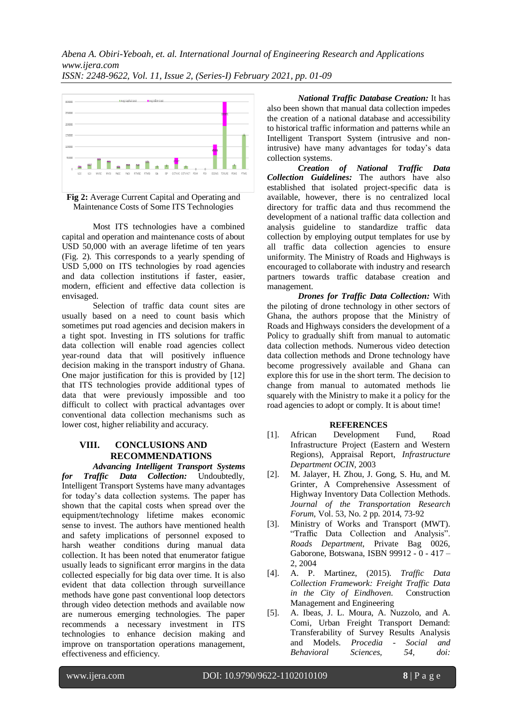

Maintenance Costs of Some ITS Technologies

Most ITS technologies have a combined capital and operation and maintenance costs of about USD 50,000 with an average lifetime of ten years (Fig. 2). This corresponds to a yearly spending of USD 5,000 on ITS technologies by road agencies and data collection institutions if faster, easier, modern, efficient and effective data collection is envisaged.

Selection of traffic data count sites are usually based on a need to count basis which sometimes put road agencies and decision makers in a tight spot. Investing in ITS solutions for traffic data collection will enable road agencies collect year-round data that will positively influence decision making in the transport industry of Ghana. One major justification for this is provided by [12] that ITS technologies provide additional types of data that were previously impossible and too difficult to collect with practical advantages over conventional data collection mechanisms such as lower cost, higher reliability and accuracy.

# **VIII. CONCLUSIONS AND RECOMMENDATIONS**

*Advancing Intelligent Transport Systems for Traffic Data Collection:* Undoubtedly, Intelligent Transport Systems have many advantages for today's data collection systems. The paper has shown that the capital costs when spread over the equipment/technology lifetime makes economic sense to invest. The authors have mentioned health and safety implications of personnel exposed to harsh weather conditions during manual data collection. It has been noted that enumerator fatigue usually leads to significant error margins in the data collected especially for big data over time. It is also evident that data collection through surveillance methods have gone past conventional loop detectors through video detection methods and available now are numerous emerging technologies. The paper recommends a necessary investment in ITS technologies to enhance decision making and improve on transportation operations management, effectiveness and efficiency.

*National Traffic Database Creation:* It has also been shown that manual data collection impedes the creation of a national database and accessibility to historical traffic information and patterns while an Intelligent Transport System (intrusive and nonintrusive) have many advantages for today's data collection systems.

*Creation of National Traffic Data Collection Guidelines:* The authors have also established that isolated project-specific data is available, however, there is no centralized local directory for traffic data and thus recommend the development of a national traffic data collection and analysis guideline to standardize traffic data collection by employing output templates for use by all traffic data collection agencies to ensure uniformity. The Ministry of Roads and Highways is encouraged to collaborate with industry and research partners towards traffic database creation and management.

*Drones for Traffic Data Collection:* With the piloting of drone technology in other sectors of Ghana, the authors propose that the Ministry of Roads and Highways considers the development of a Policy to gradually shift from manual to automatic data collection methods. Numerous video detection data collection methods and Drone technology have become progressively available and Ghana can explore this for use in the short term. The decision to change from manual to automated methods lie squarely with the Ministry to make it a policy for the road agencies to adopt or comply. It is about time!

# **REFERENCES**

- [1]. African Development Fund, Road Infrastructure Project (Eastern and Western Regions), Appraisal Report, *Infrastructure Department OCIN,* 2003
- [2]. M. Jalayer, H. Zhou, J. Gong, S. Hu, and M. Grinter, A Comprehensive Assessment of Highway Inventory Data Collection Methods. *Journal of the Transportation Research Forum*, Vol. 53, No. 2 pp. 2014, 73-92
- [3]. Ministry of Works and Transport (MWT). "Traffic Data Collection and Analysis". *Roads Department*, Private Bag 0026, Gaborone, Botswana, ISBN 99912 - 0 - 417 – 2, 2004
- [4]. A. P. Martinez, (2015). *Traffic Data Collection Framework: Freight Traffic Data in the City of Eindhoven*. Construction Management and Engineering
- [5]. A. Ibeas, J. L. Moura, A. Nuzzolo, and A. Comi, Urban Freight Transport Demand: Transferability of Survey Results Analysis and Models. *Procedia - Social and Behavioral Sciences, 54, doi:*